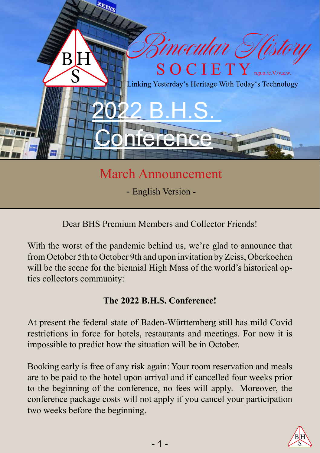

# March Announcement

- English Version -

Dear BHS Premium Members and Collector Friends!

With the worst of the pandemic behind us, we're glad to announce that from October 5th to October 9th and upon invitation by Zeiss, Oberkochen will be the scene for the biennial High Mass of the world's historical optics collectors community:

## **The 2022 B.H.S. Conference!**

At present the federal state of Baden-Württemberg still has mild Covid restrictions in force for hotels, restaurants and meetings. For now it is impossible to predict how the situation will be in October.

Booking early is free of any risk again: Your room reservation and meals are to be paid to the hotel upon arrival and if cancelled four weeks prior to the beginning of the conference, no fees will apply. Moreover, the conference package costs will not apply if you cancel your participation two weeks before the beginning.

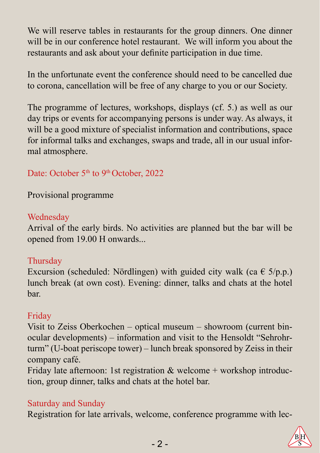We will reserve tables in restaurants for the group dinners. One dinner will be in our conference hotel restaurant. We will inform you about the restaurants and ask about your definite participation in due time.

In the unfortunate event the conference should need to be cancelled due to corona, cancellation will be free of any charge to you or our Society.

The programme of lectures, workshops, displays (cf. 5.) as well as our day trips or events for accompanying persons is under way. As always, it will be a good mixture of specialist information and contributions, space for informal talks and exchanges, swaps and trade, all in our usual informal atmosphere.

### Date: October 5<sup>th</sup> to 9<sup>th</sup> October, 2022

Provisional programme

### Wednesday

Arrival of the early birds. No activities are planned but the bar will be opened from 19.00 H onwards...

### **Thursday**

Excursion (scheduled: Nördlingen) with guided city walk (ca  $\in$  5/p.p.) lunch break (at own cost). Evening: dinner, talks and chats at the hotel bar.

### Friday

Visit to Zeiss Oberkochen – optical museum – showroom (current binocular developments) – information and visit to the Hensoldt "Sehrohrturm" (U-boat periscope tower) – lunch break sponsored by Zeiss in their company café.

Friday late afternoon: 1st registration  $&$  welcome + workshop introduction, group dinner, talks and chats at the hotel bar.

### Saturday and Sunday

Registration for late arrivals, welcome, conference programme with lec-

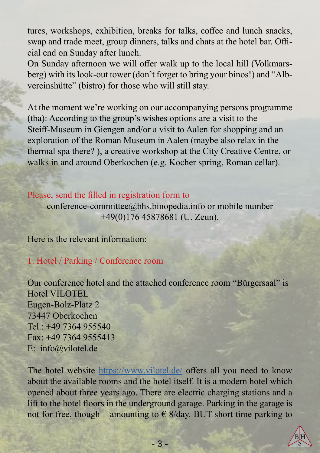tures, workshops, exhibition, breaks for talks, coffee and lunch snacks, swap and trade meet, group dinners, talks and chats at the hotel bar. Official end on Sunday after lunch.

On Sunday afternoon we will offer walk up to the local hill (Volkmarsberg) with its look-out tower (don't forget to bring your binos!) and "Albvereinshütte" (bistro) for those who will still stay.

At the moment we're working on our accompanying persons programme (tba): According to the group's wishes options are a visit to the Steiff-Museum in Giengen and/or a visit to Aalen for shopping and an exploration of the Roman Museum in Aalen (maybe also relax in the thermal spa there? ), a creative workshop at the City Creative Centre, or walks in and around Oberkochen (e.g. Kocher spring, Roman cellar).

#### Please, send the filled in registration form to

conference-committee@bhs.binopedia.info or mobile number +49(0)176 45878681 (U. Zeun).

Here is the relevant information:

1. Hotel / Parking / Conference room

Our conference hotel and the attached conference room "Bürgersaal" is Hotel VILOTEL Eugen-Bolz-Platz 2 73447 Oberkochen Tel.: +49 7364 955540 Fax: +49 7364 9555413 E: info@vilotel.de

The hotel website <https://www.vilotel.de/> offers all you need to know about the available rooms and the hotel itself. It is a modern hotel which opened about three years ago. There are electric charging stations and a lift to the hotel floors in the underground garage. Parking in the garage is not for free, though – amounting to  $\epsilon$  8/day. BUT short time parking to

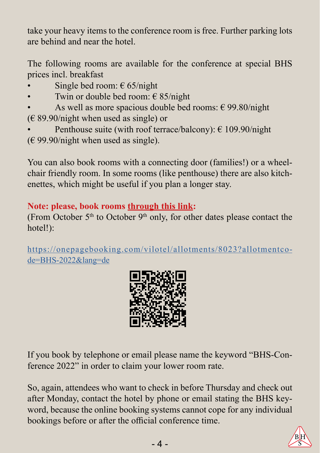take your heavy items to the conference room is free. Further parking lots are behind and near the hotel.

The following rooms are available for the conference at special BHS prices incl. breakfast

- Single bed room:  $\epsilon$  65/night
- Twin or double bed room:  $\epsilon$  85/night
- As well as more spacious double bed rooms:  $\epsilon$  99.80/night  $(E 89.90/night$  when used as single) or
- Penthouse suite (with roof terrace/balcony):  $\epsilon$  109.90/night  $(E 99.90/night$  when used as single).

You can also book rooms with a connecting door (families!) or a wheelchair friendly room. In some rooms (like penthouse) there are also kitchenettes, which might be useful if you plan a longer stay.

### **Note: please, book rooms through this link:**

(From October  $5<sup>th</sup>$  to October  $9<sup>th</sup>$  only, for other dates please contact the hotel!):

https://onepagebooking.com/vilotel/allotments/8023?allotmentcode=BHS-2022&lang=de



If you book by telephone or email please name the keyword "BHS-Conference 2022" in order to claim your lower room rate.

So, again, attendees who want to check in before Thursday and check out after Monday, contact the hotel by phone or email stating the BHS keyword, because the online booking systems cannot cope for any individual bookings before or after the official conference time.

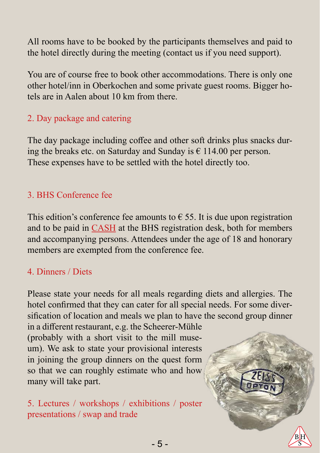All rooms have to be booked by the participants themselves and paid to the hotel directly during the meeting (contact us if you need support).

You are of course free to book other accommodations. There is only one other hotel/inn in Oberkochen and some private guest rooms. Bigger hotels are in Aalen about 10 km from there.

# 2. Day package and catering

The day package including coffee and other soft drinks plus snacks during the breaks etc. on Saturday and Sunday is  $\epsilon$  114.00 per person. These expenses have to be settled with the hotel directly too.

# 3. BHS Conference fee

This edition's conference fee amounts to  $\epsilon$  55. It is due upon registration and to be paid in CASH at the BHS registration desk, both for members and accompanying persons. Attendees under the age of 18 and honorary members are exempted from the conference fee.

## 4. Dinners / Diets

Please state your needs for all meals regarding diets and allergies. The hotel confirmed that they can cater for all special needs. For some diversification of location and meals we plan to have the second group dinner

in a different restaurant, e.g. the Scheerer-Mühle (probably with a short visit to the mill museum). We ask to state your provisional interests in joining the group dinners on the quest form so that we can roughly estimate who and how many will take part.

5. Lectures / workshops / exhibitions / poster presentations / swap and trade